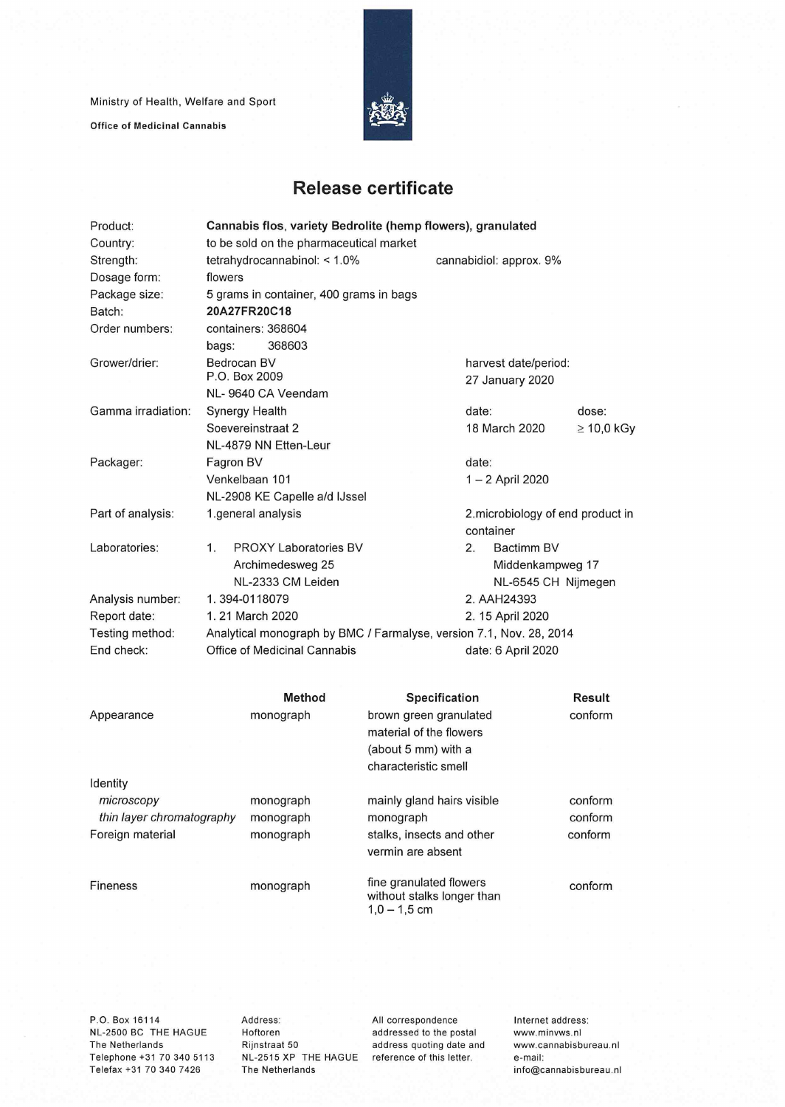Ministry of Health, Welfare and Sport

**Office of Medicinal Cannabis** 



## **Release certificate**

| Product:           | Cannabis flos, variety Bedrolite (hemp flowers), granulated         |                         |                                   |                 |  |  |
|--------------------|---------------------------------------------------------------------|-------------------------|-----------------------------------|-----------------|--|--|
| Country:           | to be sold on the pharmaceutical market                             |                         |                                   |                 |  |  |
| Strength:          | tetrahydrocannabinol: < 1.0%                                        |                         | cannabidiol: approx. 9%           |                 |  |  |
| Dosage form:       | flowers                                                             |                         |                                   |                 |  |  |
| Package size:      | 5 grams in container, 400 grams in bags                             |                         |                                   |                 |  |  |
| Batch:             | 20A27FR20C18                                                        |                         |                                   |                 |  |  |
| Order numbers:     | containers: 368604                                                  |                         |                                   |                 |  |  |
|                    | 368603<br>bags:                                                     |                         |                                   |                 |  |  |
| Grower/drier:      | Bedrocan BV                                                         |                         | harvest date/period:              |                 |  |  |
|                    | P.O. Box 2009                                                       |                         | 27 January 2020                   |                 |  |  |
|                    | NL-9640 CA Veendam                                                  |                         |                                   |                 |  |  |
| Gamma irradiation: | <b>Synergy Health</b>                                               |                         | date:                             | dose:           |  |  |
|                    | Soevereinstraat 2                                                   |                         | 18 March 2020                     | $\geq 10,0$ kGy |  |  |
|                    | NL-4879 NN Etten-Leur                                               |                         |                                   |                 |  |  |
| Packager:          | Fagron BV                                                           |                         | date:                             |                 |  |  |
|                    | Venkelbaan 101                                                      |                         | 1 - 2 April 2020                  |                 |  |  |
|                    | NL-2908 KE Capelle a/d IJssel                                       |                         |                                   |                 |  |  |
| Part of analysis:  | 1.general analysis                                                  |                         | 2. microbiology of end product in |                 |  |  |
|                    |                                                                     |                         | container                         |                 |  |  |
| Laboratories:      | <b>PROXY Laboratories BV</b><br>1.                                  |                         | Bactimm BV<br>2.                  |                 |  |  |
|                    | Archimedesweg 25                                                    |                         | Middenkampweg 17                  |                 |  |  |
|                    | NL-2333 CM Leiden                                                   |                         | NL-6545 CH Nijmegen               |                 |  |  |
| Analysis number:   | 1.394-0118079                                                       |                         | 2. AAH24393                       |                 |  |  |
| Report date:       | 1. 21 March 2020                                                    |                         | 2. 15 April 2020                  |                 |  |  |
| Testing method:    | Analytical monograph by BMC / Farmalyse, version 7.1, Nov. 28, 2014 |                         |                                   |                 |  |  |
| End check:         | Office of Medicinal Cannabis                                        |                         | date: 6 April 2020                |                 |  |  |
|                    |                                                                     |                         |                                   |                 |  |  |
|                    |                                                                     |                         |                                   |                 |  |  |
|                    | Method                                                              | Specification           |                                   | <b>Result</b>   |  |  |
| Appearance         | monograph                                                           | brown green granulated  |                                   | conform         |  |  |
|                    |                                                                     | material of the flowers |                                   |                 |  |  |
|                    |                                                                     | (about 5 mm) with a     |                                   |                 |  |  |
|                    |                                                                     | characteristic smell    |                                   |                 |  |  |
| Identity           |                                                                     |                         |                                   |                 |  |  |

*microscopy thin layer chromatography*  Foreign material monograph monograph monograph

Fineness

monograph

mainly gland hairs visible monograph stalks, insects and other vermin are absent fine granulated flowers without stalks longer than 1,0 — 1,5 cm

conform

conform conform conform

P.O. Box 16114 NL-2500 BC THE HAGUE The Netherlands Telephone +31 70 340 5113 Telefax +31 70 340 7426

Address: Hoftoren Rijnstraat 50 NL-2515 XP THE HAGUE reference of this letter. The Netherlands

All correspondence addressed to the postai address quoting date and Internet address: www.minvws.n1 www.cannabisbureau.nl e-mail: info@cannabisbureau.nl